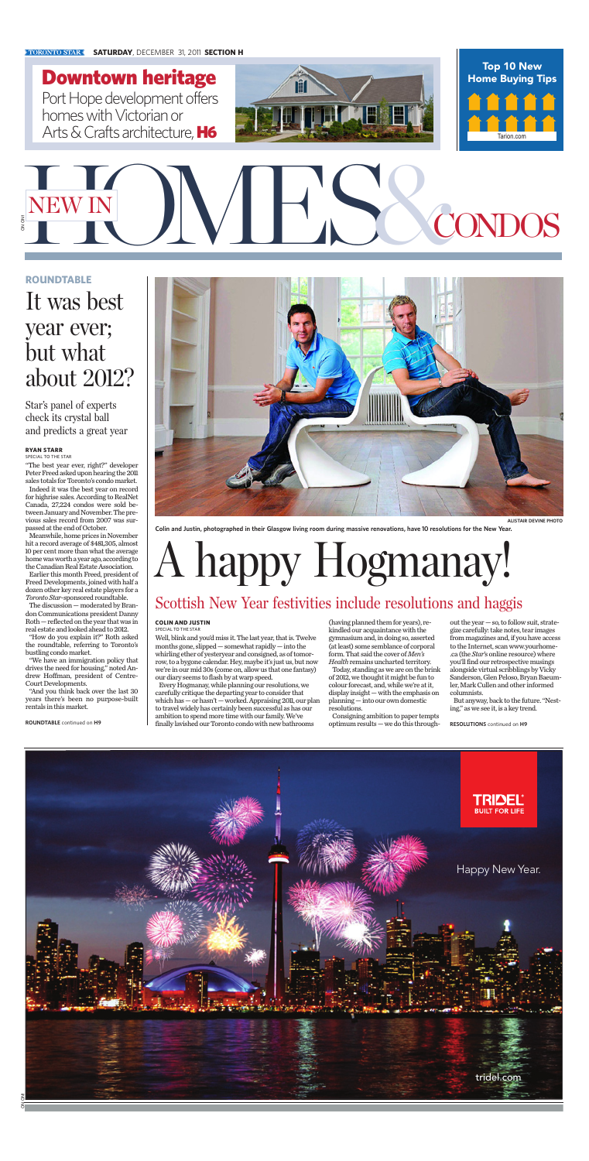**Colin and Justin, photographed in their Glasgow living room during massive renovations, have 10 resolutions for the New Year.**

# NEW IN JUNE CONDOS ON ON1

Downtown heritage Port Hope development offers homes with Victorian or Arts & Crafts architecture, H6

**ALISTAIR DEVINE PHOTO**





#### **SATURDAY**, DECEMBER 31, 2011 **SECTION H**



"The best year ever, right?" developer Peter Freed asked upon hearing the 2011 sales totals for Toronto's condo market. Indeed it was the best year on record for highrise sales. According to RealNet Canada, 27,224 condos were sold between January and November. The previous sales record from 2007 was surpassed at the end of October.

Meanwhile, home prices in November hit a record average of \$481,305, almost 10 per cent more than what the average home was worth a year ago, according to the Canadian Real Estate Association.

Earlier this month Freed, president of Freed Developments, joined with half a dozen other key real estate players for a *Toronto Star*-sponsored roundtable.

The discussion — moderated by Brandon Communications president Danny Roth — reflected on the year that was in real estate and looked ahead to 2012.

"How do you explain it?" Roth asked



the roundtable, referring to Toronto's bustling condo market.

"We have an immigration policy that drives the need for housing," noted Andrew Hoffman, president of Centre-Court Developments.

"And you think back over the last 30 years there's been no purpose-built rentals in this market.

#### **ROUNDTABLE**

### It was best year ever; but what about 2012?

Star's panel of experts check its crystal ball and predicts a great year

#### **RYAN STARR**

SPECIAL TO THE STAR

**ROUNDTABLE** continued on **H9**

#### **COLIN AND JUSTIN** SPECIAL TO THE STAR

Well, blink and you'd miss it. The last year, that is. Twelve months gone, slipped — somewhat rapidly — into the whirling ether of yesteryear and consigned, as of tomorrow, to a bygone calendar. Hey, maybe it's just us, but now we're in our mid 30s (come on, allow us that one fantasy) our diary seems to flash by at warp speed. Every Hogmanay, while planning our resolutions, we carefully critique the departing year to consider that which has — or hasn't — worked. Appraising 2011, our plan to travel widely has certainly been successful as has our ambition to spend more time with our family. We've finally lavished our Toronto condo with new bathrooms

(having planned them for years), rekindled our acquaintance with the gymnasium and, in doing so, asserted

(at least) some semblance of corporal form. That said the cover of *Men's* Health remains uncharted territory. Today, standing as we are on the brink of 2012, we thought it might be fun to colour forecast, and, while we're at it, display insight — with the emphasis on planning — into our own domestic resolutions.

Consigning ambition to paper tempts optimum results — we do this through-

out the year — so, to follow suit, strategize carefully: take notes, tear images from magazines and, if you have access to the Internet, scan www.yourhome- .ca (the *Star*'s online resource) where you'll find our retrospective musings alongside virtual scribblings by Vicky Sanderson, Glen Peloso, Bryan Baeumler, Mark Cullen and other informed columnists.

But anyway, back to the future. "Nesting," as we see it, is a key trend.

**RESOLUTIONS** continued on **H9**

## A happy Hogmanay!

### Scottish New Year festivities include resolutions and haggis